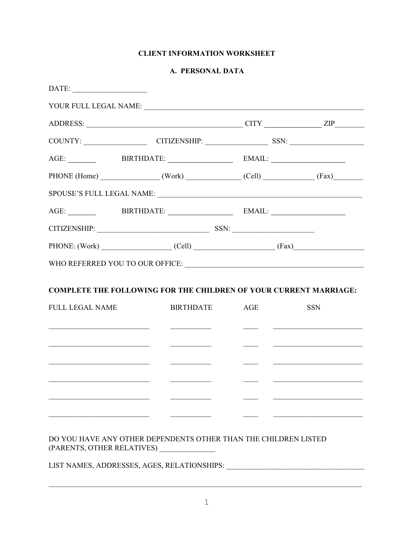## **CLIENT INFORMATION WORKSHEET**

### A. PERSONAL DATA

|                        | COUNTY: CITIZENSHIP: SSN: CITIZENSHIP:                                                                                                                                                                                                                                                                                                                                                                                                                                           |               |                                                                                                                      |
|------------------------|----------------------------------------------------------------------------------------------------------------------------------------------------------------------------------------------------------------------------------------------------------------------------------------------------------------------------------------------------------------------------------------------------------------------------------------------------------------------------------|---------------|----------------------------------------------------------------------------------------------------------------------|
|                        | AGE: BIRTHDATE: EMAIL:                                                                                                                                                                                                                                                                                                                                                                                                                                                           |               |                                                                                                                      |
|                        | PHONE (Home) (Work) (Cell) (Cell) (Fax)                                                                                                                                                                                                                                                                                                                                                                                                                                          |               |                                                                                                                      |
|                        |                                                                                                                                                                                                                                                                                                                                                                                                                                                                                  |               |                                                                                                                      |
|                        | AGE: _________ BIRTHDATE: _________________ EMAIL: ______________________________                                                                                                                                                                                                                                                                                                                                                                                                |               |                                                                                                                      |
|                        |                                                                                                                                                                                                                                                                                                                                                                                                                                                                                  |               |                                                                                                                      |
|                        |                                                                                                                                                                                                                                                                                                                                                                                                                                                                                  |               |                                                                                                                      |
|                        | PHONE: (Work) (Cell) (Cell) (Fax)                                                                                                                                                                                                                                                                                                                                                                                                                                                |               |                                                                                                                      |
|                        |                                                                                                                                                                                                                                                                                                                                                                                                                                                                                  |               |                                                                                                                      |
| <b>FULL LEGAL NAME</b> | <b>COMPLETE THE FOLLOWING FOR THE CHILDREN OF YOUR CURRENT MARRIAGE:</b><br><b>BIRTHDATE</b>                                                                                                                                                                                                                                                                                                                                                                                     | AGE           | <b>SSN</b>                                                                                                           |
|                        | <u> 1989 - Andrea Barbara, política esta</u>                                                                                                                                                                                                                                                                                                                                                                                                                                     | $\frac{1}{2}$ |                                                                                                                      |
|                        | $\begin{tabular}{lllllllllllll} \multicolumn{3}{l}{} & \multicolumn{3}{l}{} & \multicolumn{3}{l}{} & \multicolumn{3}{l}{} & \multicolumn{3}{l}{} & \multicolumn{3}{l}{} & \multicolumn{3}{l}{} & \multicolumn{3}{l}{} & \multicolumn{3}{l}{} & \multicolumn{3}{l}{} & \multicolumn{3}{l}{} & \multicolumn{3}{l}{} & \multicolumn{3}{l}{} & \multicolumn{3}{l}{} & \multicolumn{3}{l}{} & \multicolumn{3}{l}{} & \multicolumn{3}{l}{} & \multicolumn{3}{l}{} & \multicolumn{3}{l$ |               | <u> Alexandro de Alexandro de Alexandro de Alexandro de Alexandro de Alexandro de Alexandro de Alexandro de Alex</u> |
|                        | <u> Alexandria (m. 1888)</u>                                                                                                                                                                                                                                                                                                                                                                                                                                                     |               |                                                                                                                      |
|                        |                                                                                                                                                                                                                                                                                                                                                                                                                                                                                  |               |                                                                                                                      |
|                        |                                                                                                                                                                                                                                                                                                                                                                                                                                                                                  |               |                                                                                                                      |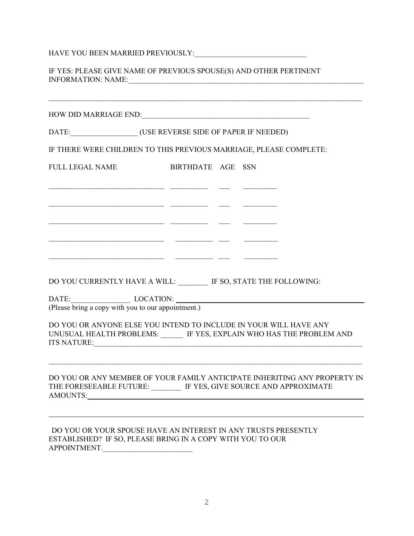HAVE YOU BEEN MARRIED PREVIOUSLY:\_\_\_\_\_\_\_\_\_\_\_\_\_\_\_\_\_\_\_\_\_\_\_\_\_\_\_\_\_\_

IF YES: PLEASE GIVE NAME OF PREVIOUS SPOUSE(S) AND OTHER PERTINENT INFORMATION: NAME:\_\_\_\_\_\_\_\_\_\_\_\_\_\_\_\_\_\_\_\_\_\_\_\_\_\_\_\_\_\_\_\_\_\_\_\_\_\_\_\_\_\_\_\_\_\_\_\_\_\_\_\_\_\_\_\_\_\_\_\_\_\_\_

| DATE: ____________________(USE REVERSE SIDE OF PAPER IF NEEDED)                                                                              |                                                          |  |                                                                           |
|----------------------------------------------------------------------------------------------------------------------------------------------|----------------------------------------------------------|--|---------------------------------------------------------------------------|
| IF THERE WERE CHILDREN TO THIS PREVIOUS MARRIAGE, PLEASE COMPLETE:                                                                           |                                                          |  |                                                                           |
| <b>FULL LEGAL NAME</b>                                                                                                                       | BIRTHDATE AGE SSN                                        |  |                                                                           |
|                                                                                                                                              | <u> 1989 - Jan Stein Stein, fransk politik (f. 1989)</u> |  |                                                                           |
|                                                                                                                                              |                                                          |  |                                                                           |
| DO YOU CURRENTLY HAVE A WILL: IF SO, STATE THE FOLLOWING:                                                                                    | <u> 1999 - Jan James James (f. 1989)</u>                 |  |                                                                           |
| (Please bring a copy with you to our appointment.)                                                                                           |                                                          |  |                                                                           |
| DO YOU OR ANYONE ELSE YOU INTEND TO INCLUDE IN YOUR WILL HAVE ANY                                                                            |                                                          |  | UNUSUAL HEALTH PROBLEMS: ______ IF YES, EXPLAIN WHO HAS THE PROBLEM AND   |
| THE FORESEEABLE FUTURE: IF YES, GIVE SOURCE AND APPROXIMATE<br><b>AMOUNTS:</b>                                                               |                                                          |  | DO YOU OR ANY MEMBER OF YOUR FAMILY ANTICIPATE INHERITING ANY PROPERTY IN |
| DO YOU OR YOUR SPOUSE HAVE AN INTEREST IN ANY TRUSTS PRESENTLY<br>ESTABLISHED? IF SO, PLEASE BRING IN A COPY WITH YOU TO OUR<br>APPOINTMENT. |                                                          |  |                                                                           |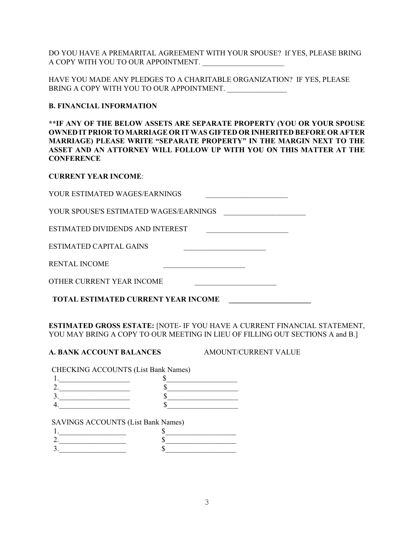DO YOU HAVE A PREMARITAL AGREEMENT WITH YOUR SPOUSE? If YES, PLEASE BRING A COPY WITH YOU TO OUR APPOINTMENT.

HAVE YOU MADE ANY PLEDGES TO A CHARITABLE ORGANIZATION? IF YES, PLEASE BRING A COPY WITH YOU TO OUR APPOINTMENT.

### **B. FINANCIAL INFORMATION**

**\*\*IF ANY OF THE BELOW ASSETS ARE SEPARATE PROPERTY (YOU OR YOUR SPOUSE OWNED IT PRIOR TO MARRIAGE OR IT WAS GIFTED OR INHERITED BEFORE OR AFTER MARRIAGE) PLEASE WRITE "SEPARATE PROPERTY" IN THE MARGIN NEXT TO THE ASSET AND AN ATTORNEY WILL FOLLOW UP WITH YOU ON THIS MATTER AT THE CONFERENCE**

### **CURRENT YEAR INCOME**:

| YOUR ESTIMATED WAGES/EARNINGS |  |
|-------------------------------|--|
|                               |  |

YOUR SPOUSE'S ESTIMATED WAGES/EARNINGS

ESTIMATED DIVIDENDS AND INTEREST \_\_\_\_\_\_\_\_\_\_\_\_\_\_\_\_\_\_\_\_\_\_

ESTIMATED CAPITAL GAINS \_\_\_\_\_\_\_\_\_\_\_\_\_\_\_\_\_\_\_\_\_\_

RENTAL INCOME \_\_\_\_\_\_\_\_\_\_\_\_\_\_\_\_\_\_\_\_\_\_

OTHER CURRENT YEAR INCOME

**TOTAL ESTIMATED CURRENT YEAR INCOME \_\_\_\_\_\_\_\_\_\_\_\_\_\_\_\_\_\_\_\_\_\_**

**ESTIMATED GROSS ESTATE:** [NOTE- IF YOU HAVE A CURRENT FINANCIAL STATEMENT, YOU MAY BRING A COPY TO OUR MEETING IN LIEU OF FILLING OUT SECTIONS A and B.]

### **A. BANK ACCOUNT BALANCES AMOUNT/CURRENT VALUE**

CHECKING ACCOUNTS (List Bank Names)

### SAVINGS ACCOUNTS (List Bank Names)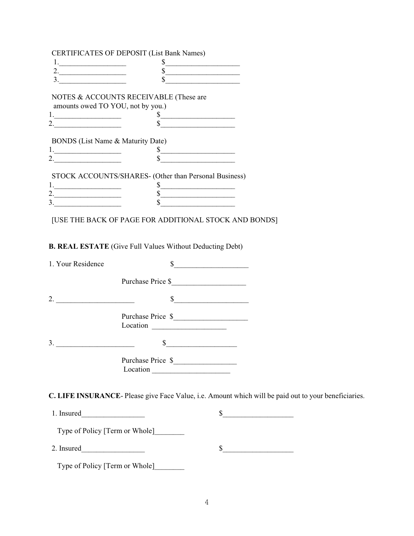|                                                                                                                                                                                                                                                                                                                                                                                                                                                       | <b>CERTIFICATES OF DEPOSIT (List Bank Names)</b>      |
|-------------------------------------------------------------------------------------------------------------------------------------------------------------------------------------------------------------------------------------------------------------------------------------------------------------------------------------------------------------------------------------------------------------------------------------------------------|-------------------------------------------------------|
|                                                                                                                                                                                                                                                                                                                                                                                                                                                       |                                                       |
| 2.                                                                                                                                                                                                                                                                                                                                                                                                                                                    |                                                       |
| $\begin{tabular}{ccccc} \multicolumn{2}{c }{\textbf{1} & \multicolumn{2}{c }{\textbf{2} & \multicolumn{2}{c }{\textbf{3} & \multicolumn{2}{c }{\textbf{4} & \multicolumn{2}{c }{\textbf{5} & \multicolumn{2}{c }{\textbf{6} & \multicolumn{2}{c }{\textbf{6} & \multicolumn{2}{c }{\textbf{6} & \multicolumn{2}{c }{\textbf{6} & \multicolumn{2}{c }{\textbf{6} & \multicolumn{2}{c }{\textbf{6} & \multicolumn{2}{c }{\textbf{6} & \multicolumn{2}{$ |                                                       |
|                                                                                                                                                                                                                                                                                                                                                                                                                                                       | NOTES & ACCOUNTS RECEIVABLE (These are                |
|                                                                                                                                                                                                                                                                                                                                                                                                                                                       | amounts owed TO YOU, not by you.)                     |
|                                                                                                                                                                                                                                                                                                                                                                                                                                                       | $\sim$                                                |
| 2. $\qquad \qquad$                                                                                                                                                                                                                                                                                                                                                                                                                                    |                                                       |
| BONDS (List Name & Maturity Date)                                                                                                                                                                                                                                                                                                                                                                                                                     | $\frac{\text{S}}{\text{S}}$                           |
|                                                                                                                                                                                                                                                                                                                                                                                                                                                       | STOCK ACCOUNTS/SHARES- (Other than Personal Business) |
|                                                                                                                                                                                                                                                                                                                                                                                                                                                       |                                                       |
| 2.                                                                                                                                                                                                                                                                                                                                                                                                                                                    |                                                       |
| 3.                                                                                                                                                                                                                                                                                                                                                                                                                                                    |                                                       |
|                                                                                                                                                                                                                                                                                                                                                                                                                                                       | [USE THE BACK OF PAGE FOR ADDITIONAL STOCK AND BONDS] |

**B. REAL ESTATE** (Give Full Values Without Deducting Debt)

| 1. Your Residence                                             |                               |  |
|---------------------------------------------------------------|-------------------------------|--|
|                                                               | Purchase Price \$             |  |
| <u> 1989 - Johann Barn, mars an t-Amerikaansk politiker (</u> | $\int$                        |  |
|                                                               | Purchase Price \$             |  |
| 3.                                                            |                               |  |
|                                                               | Purchase Price \$<br>Location |  |
|                                                               |                               |  |

**C. LIFE INSURANCE**- Please give Face Value, i.e. Amount which will be paid out to your beneficiaries.

| 1. Insured                     |  |
|--------------------------------|--|
| Type of Policy [Term or Whole] |  |
| 2. Insured                     |  |
| Type of Policy [Term or Whole] |  |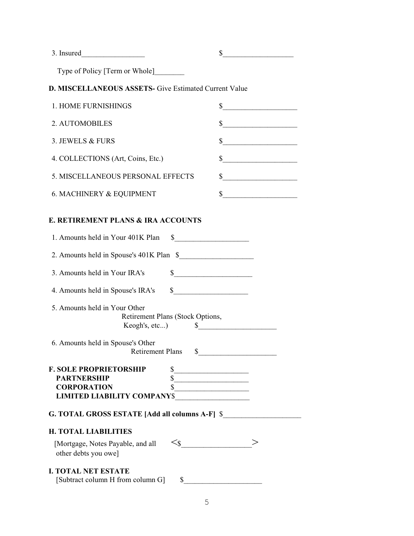3. Insured\_\_\_\_\_\_\_\_\_\_\_\_\_\_\_\_\_ \$\_\_\_\_\_\_\_\_\_\_\_\_\_\_\_\_\_\_\_

Type of Policy [Term or Whole]\_\_\_\_\_\_\_\_

# **D. MISCELLANEOUS ASSETS-** Give Estimated Current Value

| 1. HOME FURNISHINGS                 |  |
|-------------------------------------|--|
| 2. AUTOMOBILES                      |  |
| 3. JEWELS & FURS                    |  |
| 4. COLLECTIONS (Art, Coins, Etc.)   |  |
| 5. MISCELLANEOUS PERSONAL EFFECTS   |  |
| <b>6. MACHINERY &amp; EQUIPMENT</b> |  |

### **E. RETIREMENT PLANS & IRA ACCOUNTS**

| 1. Amounts held in Your 401K Plan                            | S.                                                                             |
|--------------------------------------------------------------|--------------------------------------------------------------------------------|
| 2. Amounts held in Spouse's 401K Plan \$                     |                                                                                |
| 3. Amounts held in Your IRA's                                | $\mathbb{S}$                                                                   |
| 4. Amounts held in Spouse's IRA's                            | $\frac{\text{S}}{\text{S}}$                                                    |
| 5. Amounts held in Your Other                                | Retirement Plans (Stock Options,<br>Keogh's, etc) $\qquad \qquad \text{\ssim}$ |
| 6. Amounts held in Spouse's Other<br><b>Retirement Plans</b> | $\frac{1}{2}$                                                                  |
| <b>F. SOLE PROPRIETORSHIP</b>                                | $\frac{1}{2}$                                                                  |
| <b>PARTNERSHIP</b>                                           | $\overline{\text{s}}$                                                          |
| <b>CORPORATION</b>                                           | $\overline{\text{S}}$                                                          |
|                                                              |                                                                                |
| G. TOTAL GROSS ESTATE [Add all columns A-F] \$               |                                                                                |
| <b>H. TOTAL LIABILITIES</b>                                  |                                                                                |
| [Mortgage, Notes Payable, and all<br>other debts you owe]    | $\leq$ s $\overline{\phantom{a}}$                                              |
|                                                              |                                                                                |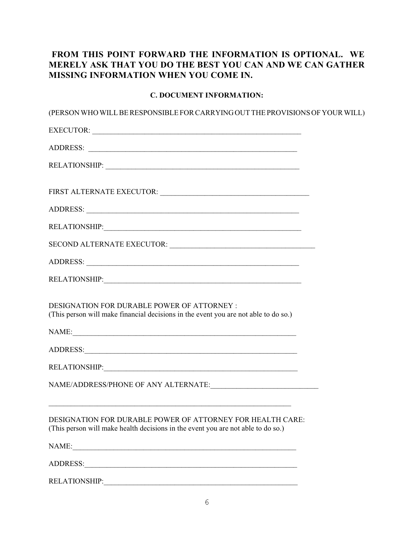# **FROM THIS POINT FORWARD THE INFORMATION IS OPTIONAL. WE MERELY ASK THAT YOU DO THE BEST YOU CAN AND WE CAN GATHER MISSING INFORMATION WHEN YOU COME IN.**

### **C. DOCUMENT INFORMATION:**

| (PERSON WHO WILL BE RESPONSIBLE FOR CARRYING OUT THE PROVISIONS OF YOUR WILL)                                                                                                                                                  |  |
|--------------------------------------------------------------------------------------------------------------------------------------------------------------------------------------------------------------------------------|--|
| EXECUTOR:                                                                                                                                                                                                                      |  |
| ADDRESS:                                                                                                                                                                                                                       |  |
| RELATIONSHIP:                                                                                                                                                                                                                  |  |
|                                                                                                                                                                                                                                |  |
|                                                                                                                                                                                                                                |  |
|                                                                                                                                                                                                                                |  |
|                                                                                                                                                                                                                                |  |
|                                                                                                                                                                                                                                |  |
|                                                                                                                                                                                                                                |  |
| <b>DESIGNATION FOR DURABLE POWER OF ATTORNEY:</b><br>(This person will make financial decisions in the event you are not able to do so.)                                                                                       |  |
| NAME:                                                                                                                                                                                                                          |  |
|                                                                                                                                                                                                                                |  |
|                                                                                                                                                                                                                                |  |
|                                                                                                                                                                                                                                |  |
| DESIGNATION FOR DURABLE POWER OF ATTORNEY FOR HEALTH CARE:<br>(This person will make health decisions in the event you are not able to do so.)                                                                                 |  |
|                                                                                                                                                                                                                                |  |
| ADDRESS: North Contract of the Contract of the Contract of the Contract of the Contract of the Contract of the Contract of the Contract of the Contract of the Contract of the Contract of the Contract of the Contract of the |  |
|                                                                                                                                                                                                                                |  |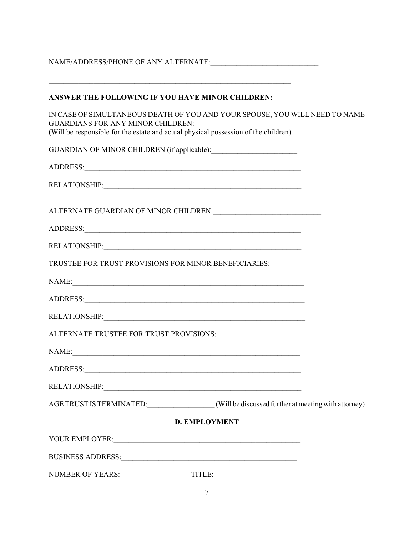NAME/ADDRESS/PHONE OF ANY ALTERNATE:\_\_\_\_\_\_\_\_\_\_\_\_\_\_\_\_\_\_\_\_\_\_\_\_\_\_\_\_\_

\_\_\_\_\_\_\_\_\_\_\_\_\_\_\_\_\_\_\_\_\_\_\_\_\_\_\_\_\_\_\_\_\_\_\_\_\_\_\_\_\_\_\_\_\_\_\_\_\_\_\_\_\_\_\_\_\_\_\_\_\_\_\_\_\_

IN CASE OF SIMULTANEOUS DEATH OF YOU AND YOUR SPOUSE, YOU WILL NEED TO NAME GUARDIANS FOR ANY MINOR CHILDREN: (Will be responsible for the estate and actual physical possession of the children)

| reference to responsible for the estate and actual physical possession of the children,                                                                                                                                        |  |
|--------------------------------------------------------------------------------------------------------------------------------------------------------------------------------------------------------------------------------|--|
|                                                                                                                                                                                                                                |  |
|                                                                                                                                                                                                                                |  |
|                                                                                                                                                                                                                                |  |
|                                                                                                                                                                                                                                |  |
|                                                                                                                                                                                                                                |  |
| RELATIONSHIP: And the contract of the contract of the contract of the contract of the contract of the contract of the contract of the contract of the contract of the contract of the contract of the contract of the contract |  |
| TRUSTEE FOR TRUST PROVISIONS FOR MINOR BENEFICIARIES:                                                                                                                                                                          |  |
|                                                                                                                                                                                                                                |  |
|                                                                                                                                                                                                                                |  |
|                                                                                                                                                                                                                                |  |
| ALTERNATE TRUSTEE FOR TRUST PROVISIONS:                                                                                                                                                                                        |  |
|                                                                                                                                                                                                                                |  |
|                                                                                                                                                                                                                                |  |
|                                                                                                                                                                                                                                |  |
| AGE TRUST IS TERMINATED: (Will be discussed further at meeting with attorney)                                                                                                                                                  |  |
| <b>D. EMPLOYMENT</b>                                                                                                                                                                                                           |  |
|                                                                                                                                                                                                                                |  |
|                                                                                                                                                                                                                                |  |
| NUMBER OF YEARS: TITLE:                                                                                                                                                                                                        |  |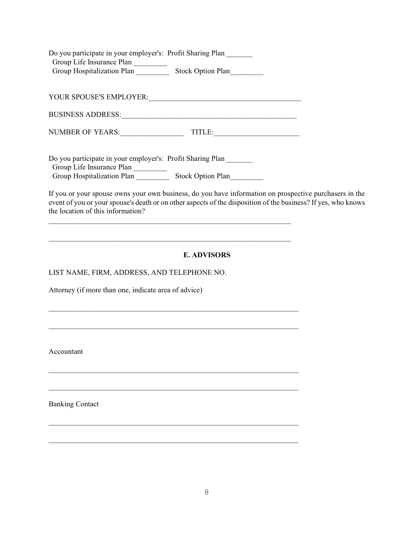| Do you participate in your employer's: Profit Sharing Plan |                          |
|------------------------------------------------------------|--------------------------|
| Group Life Insurance Plan                                  |                          |
| Group Hospitalization Plan                                 | <b>Stock Option Plan</b> |

YOUR SPOUSE'S EMPLOYER:

BUSINESS ADDRESS:\_\_\_\_\_\_\_\_\_\_\_\_\_\_\_\_\_\_\_\_\_\_\_\_\_\_\_\_\_\_\_\_\_\_\_\_\_\_\_\_\_\_\_\_\_\_\_

NUMBER OF YEARS: TITLE:

\_\_\_\_\_\_\_\_\_\_\_\_\_\_\_\_\_\_\_\_\_\_\_\_\_\_\_\_\_\_\_\_\_\_\_\_\_\_\_\_\_\_\_\_\_\_\_\_\_\_\_\_\_\_\_\_\_\_\_\_\_\_\_\_\_

\_\_\_\_\_\_\_\_\_\_\_\_\_\_\_\_\_\_\_\_\_\_\_\_\_\_\_\_\_\_\_\_\_\_\_\_\_\_\_\_\_\_\_\_\_\_\_\_\_\_\_\_\_\_\_\_\_\_\_\_\_\_\_\_\_

 $\mathcal{L}_\text{max}$  , and the contribution of the contribution of the contribution of the contribution of the contribution of the contribution of the contribution of the contribution of the contribution of the contribution of t

 $\mathcal{L}_\text{max}$  , and the contribution of the contribution of the contribution of the contribution of the contribution of the contribution of the contribution of the contribution of the contribution of the contribution of t

 $\mathcal{L}_\text{max}$  , and the contribution of the contribution of the contribution of the contribution of the contribution of the contribution of the contribution of the contribution of the contribution of the contribution of t

 $\mathcal{L}_\text{max}$  , and the contribution of the contribution of the contribution of the contribution of the contribution of the contribution of the contribution of the contribution of the contribution of the contribution of t

 $\mathcal{L}_\text{max}$  , and the contribution of the contribution of the contribution of the contribution of the contribution of the contribution of the contribution of the contribution of the contribution of the contribution of t

\_\_\_\_\_\_\_\_\_\_\_\_\_\_\_\_\_\_\_\_\_\_\_\_\_\_\_\_\_\_\_\_\_\_\_\_\_\_\_\_\_\_\_\_\_\_\_\_\_\_\_\_\_\_\_\_\_\_\_\_\_\_\_\_\_\_\_

Do you participate in your employer's: Profit Sharing Plan \_\_\_\_\_\_\_ Group Life Insurance Plan Group Hospitalization Plan Stock Option Plan

If you or your spouse owns your own business, do you have information on prospective purchasers in the event of you or your spouse's death or on other aspects of the disposition of the business? If yes, who knows the location of this information?

# **E. ADVISORS**

LIST NAME, FIRM, ADDRESS, AND TELEPHONE NO.

Attorney (if more than one, indicate area of advice)

Accountant

Banking Contact